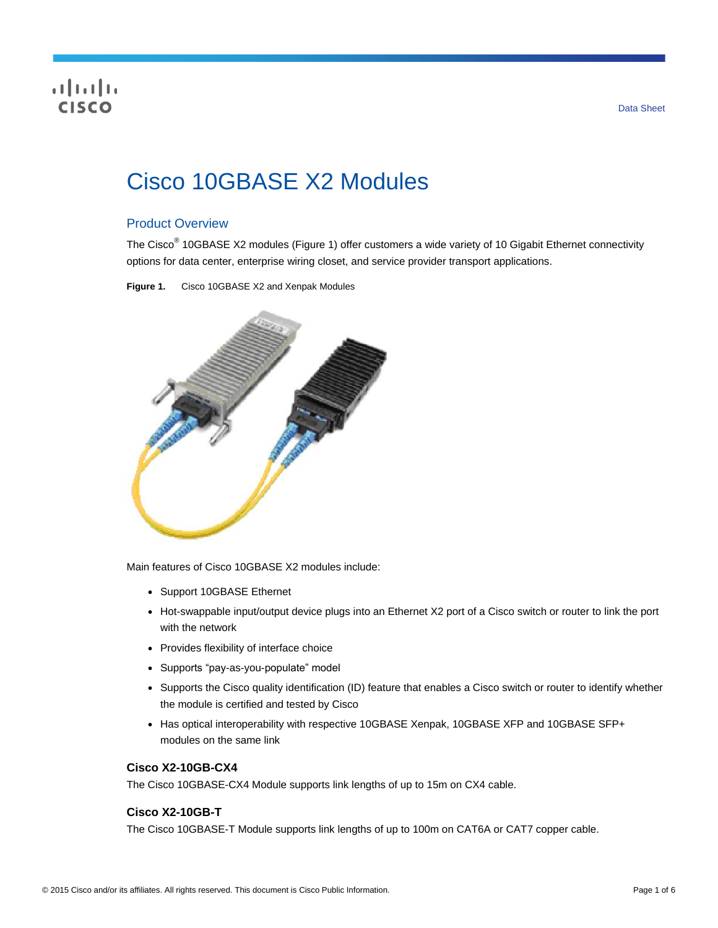# CISCO

# Cisco 10GBASE X2 Modules

## Product Overview

The Cisco<sup>®</sup> 10GBASE X2 modules (Figure 1) offer customers a wide variety of 10 Gigabit Ethernet connectivity options for data center, enterprise wiring closet, and service provider transport applications.

**Figure 1.** Cisco 10GBASE X2 and Xenpak Modules



Main features of Cisco 10GBASE X2 modules include:

- Support 10GBASE Ethernet
- Hot-swappable input/output device plugs into an Ethernet X2 port of a Cisco switch or router to link the port with the network
- Provides flexibility of interface choice
- Supports "pay-as-you-populate" model
- Supports the Cisco quality identification (ID) feature that enables a Cisco switch or router to identify whether the module is certified and tested by Cisco
- Has optical interoperability with respective 10GBASE Xenpak, 10GBASE XFP and 10GBASE SFP+ modules on the same link

#### **Cisco X2-10GB-CX4**

The Cisco 10GBASE-CX4 Module supports link lengths of up to 15m on CX4 cable.

#### **Cisco X2-10GB-T**

The Cisco 10GBASE-T Module supports link lengths of up to 100m on CAT6A or CAT7 copper cable.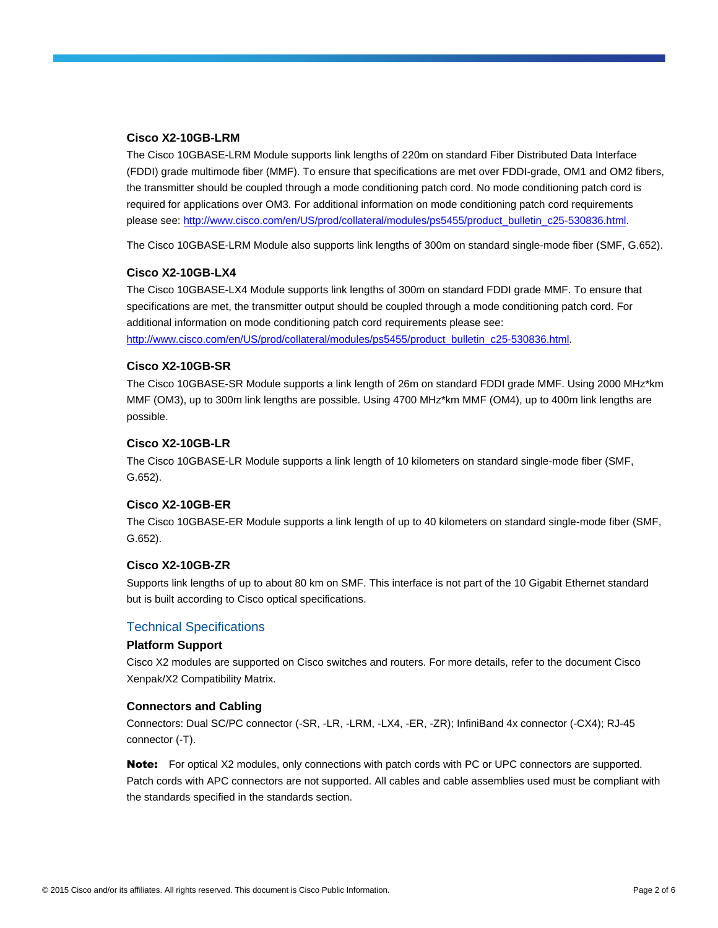#### **Cisco X2-10GB-LRM**

The Cisco 10GBASE-LRM Module supports link lengths of 220m on standard Fiber Distributed Data Interface (FDDI) grade multimode fiber (MMF). To ensure that specifications are met over FDDI-grade, OM1 and OM2 fibers, the transmitter should be coupled through a mode conditioning patch cord. No mode conditioning patch cord is required for applications over OM3. For additional information on mode conditioning patch cord requirements please see[: http://www.cisco.com/en/US/prod/collateral/modules/ps5455/product\\_bulletin\\_c25-530836.html.](http://www.cisco.com/en/US/prod/collateral/modules/ps5455/product_bulletin_c25-530836.html)

The Cisco 10GBASE-LRM Module also supports link lengths of 300m on standard single-mode fiber (SMF, G.652).

#### **Cisco X2-10GB-LX4**

The Cisco 10GBASE-LX4 Module supports link lengths of 300m on standard FDDI grade MMF. To ensure that specifications are met, the transmitter output should be coupled through a mode conditioning patch cord. For additional information on mode conditioning patch cord requirements please see:

[http://www.cisco.com/en/US/prod/collateral/modules/ps5455/product\\_bulletin\\_c25-530836.html.](http://www.cisco.com/en/US/prod/collateral/modules/ps5455/product_bulletin_c25-530836.html)

#### **Cisco X2-10GB-SR**

The Cisco 10GBASE-SR Module supports a link length of 26m on standard FDDI grade MMF. Using 2000 MHz\*km MMF (OM3), up to 300m link lengths are possible. Using 4700 MHz\*km MMF (OM4), up to 400m link lengths are possible.

#### **Cisco X2-10GB-LR**

The Cisco 10GBASE-LR Module supports a link length of 10 kilometers on standard single-mode fiber (SMF, G.652).

#### **Cisco X2-10GB-ER**

The Cisco 10GBASE-ER Module supports a link length of up to 40 kilometers on standard single-mode fiber (SMF, G.652).

#### **Cisco X2-10GB-ZR**

Supports link lengths of up to about 80 km on SMF. This interface is not part of the 10 Gigabit Ethernet standard but is built according to Cisco optical specifications.

#### Technical Specifications

#### **Platform Support**

Cisco X2 modules are supported on Cisco switches and routers. For more details, refer to the document Cisco Xenpak/X2 Compatibility Matrix.

#### **Connectors and Cabling**

Connectors: Dual SC/PC connector (-SR, -LR, -LRM, -LX4, -ER, -ZR); InfiniBand 4x connector (-CX4); RJ-45 connector (-T).

Note: For optical X2 modules, only connections with patch cords with PC or UPC connectors are supported. Patch cords with APC connectors are not supported. All cables and cable assemblies used must be compliant with the standards specified in the standards section.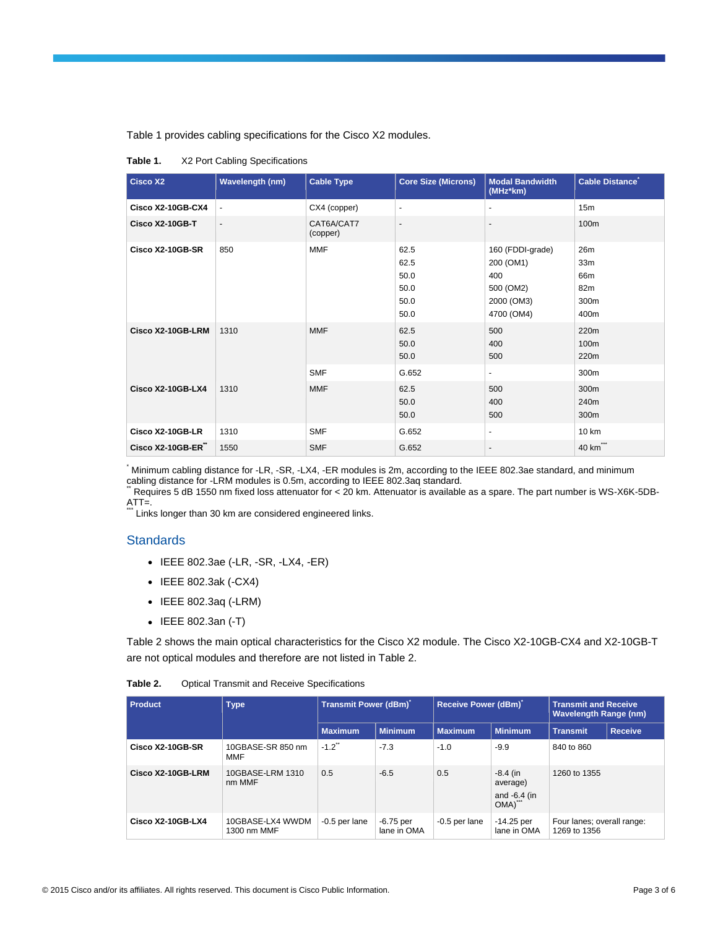Table 1 provides cabling specifications for the Cisco X2 modules.

**Table 1.** X2 Port Cabling Specifications

| <b>Cisco X2</b>          | <b>Wavelength (nm)</b>       | <b>Cable Type</b>        | <b>Core Size (Microns)</b>                   | <b>Modal Bandwidth</b><br>(MHz*km)                                            | Cable Distance                                       |
|--------------------------|------------------------------|--------------------------|----------------------------------------------|-------------------------------------------------------------------------------|------------------------------------------------------|
| Cisco X2-10GB-CX4        | $\qquad \qquad \blacksquare$ | CX4 (copper)             | $\overline{\phantom{a}}$                     | $\overline{\phantom{a}}$                                                      | 15 <sub>m</sub>                                      |
| Cisco X2-10GB-T          | $\overline{\phantom{a}}$     | CAT6A/CAT7<br>(copper)   | $\blacksquare$                               | $\blacksquare$                                                                | 100m                                                 |
| Cisco X2-10GB-SR         | 850                          | <b>MMF</b>               | 62.5<br>62.5<br>50.0<br>50.0<br>50.0<br>50.0 | 160 (FDDI-grade)<br>200 (OM1)<br>400<br>500 (OM2)<br>2000 (OM3)<br>4700 (OM4) | 26m<br>33m<br>66 <sub>m</sub><br>82m<br>300m<br>400m |
| Cisco X2-10GB-LRM        | 1310                         | <b>MMF</b><br><b>SMF</b> | 62.5<br>50.0<br>50.0<br>G.652                | 500<br>400<br>500<br>$\blacksquare$                                           | 220m<br>100m<br>220m<br>300m                         |
| <b>Cisco X2-10GB-LX4</b> | 1310                         | <b>MMF</b>               | 62.5<br>50.0<br>50.0                         | 500<br>400<br>500                                                             | 300m<br>240 <sub>m</sub><br>300m                     |
| Cisco X2-10GB-LR         | 1310                         | <b>SMF</b>               | G.652                                        | $\sim$                                                                        | 10 km                                                |
| Cisco X2-10GB-ER"        | 1550                         | <b>SMF</b>               | G.652                                        | $\overline{\phantom{a}}$                                                      | 40 km***                                             |

\* Minimum cabling distance for -LR, -SR, -LX4, -ER modules is 2m, according to the IEEE 802.3ae standard, and minimum cabling distance for -LRM modules is 0.5m, according to IEEE 802.3aq standard.

Requires 5 dB 1550 nm fixed loss attenuator for < 20 km. Attenuator is available as a spare. The part number is WS-X6K-5DB- $ATT=$ .

Links longer than 30 km are considered engineered links.

#### **Standards**

- IEEE 802.3ae (-LR, -SR, -LX4, -ER)
- IEEE 802.3ak (-CX4)
- IEEE 802.3aq (-LRM)
- IEEE 802.3an (-T)

Table 2 shows the main optical characteristics for the Cisco X2 module. The Cisco X2-10GB-CX4 and X2-10GB-T are not optical modules and therefore are not listed in Table 2.

| Table 2. |  |  |  | <b>Optical Transmit and Receive Specifications</b> |
|----------|--|--|--|----------------------------------------------------|
|----------|--|--|--|----------------------------------------------------|

| <b>Product</b>    | <b>Type</b>                     | Transmit Power (dBm) |                          | Receive Power (dBm) |                                                  | <b>Transmit and Receive</b><br><b>Wavelength Range (nm)</b> |                |
|-------------------|---------------------------------|----------------------|--------------------------|---------------------|--------------------------------------------------|-------------------------------------------------------------|----------------|
|                   |                                 | <b>Maximum</b>       | <b>Minimum</b>           | <b>Maximum</b>      | <b>Minimum</b>                                   | <b>Transmit</b>                                             | <b>Receive</b> |
| Cisco X2-10GB-SR  | 10GBASE-SR 850 nm<br><b>MMF</b> | $-1.2$               | $-7.3$                   | $-1.0$              | $-9.9$                                           | 840 to 860                                                  |                |
| Cisco X2-10GB-LRM | 10GBASE-LRM 1310<br>nm MMF      | 0.5                  | $-6.5$                   | 0.5                 | $-8.4$ (in<br>average)<br>and $-6.4$ (in<br>OMA) | 1260 to 1355                                                |                |
| Cisco X2-10GB-LX4 | 10GBASE-LX4 WWDM<br>1300 nm MMF | $-0.5$ per lane      | -6.75 per<br>lane in OMA | $-0.5$ per lane     | $-14.25$ per<br>lane in OMA                      | Four lanes; overall range:<br>1269 to 1356                  |                |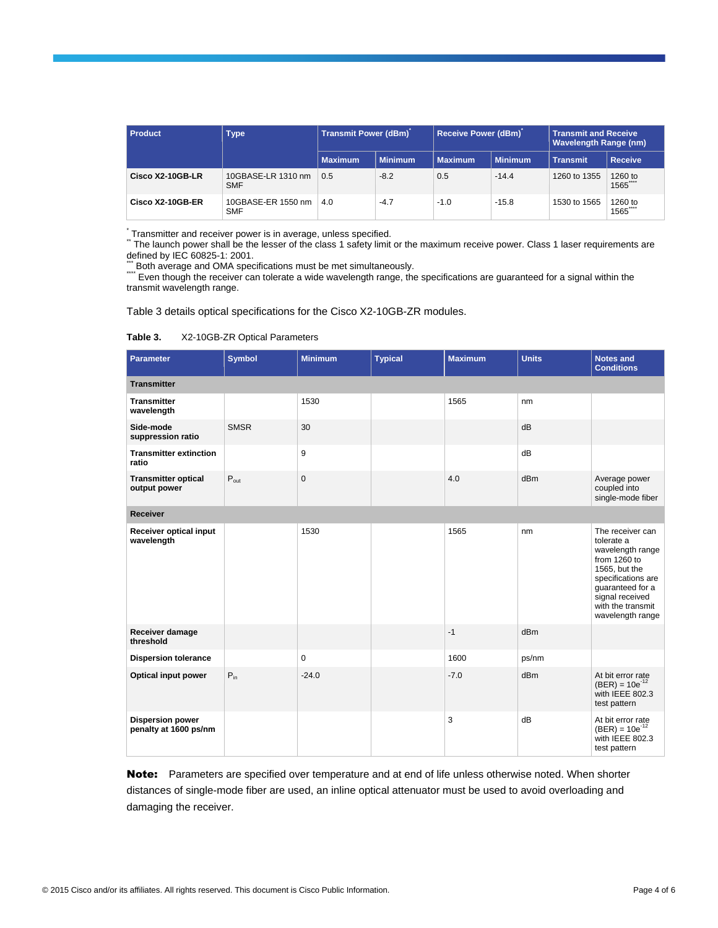| Product          | <b>Type</b>                      | Transmit Power (dBm) |                | <b>Receive Power (dBm)</b> |                | <b>Transmit and Receive</b><br><b>Wavelength Range (nm)</b> |                 |
|------------------|----------------------------------|----------------------|----------------|----------------------------|----------------|-------------------------------------------------------------|-----------------|
|                  |                                  | <b>Maximum</b>       | <b>Minimum</b> | <b>Maximum</b>             | <b>Minimum</b> | <b>Transmit</b>                                             | <b>Receive</b>  |
| Cisco X2-10GB-LR | 10GBASE-LR 1310 nm<br><b>SMF</b> | 0.5                  | $-8.2$         | 0.5                        | $-14.4$        | 1260 to 1355                                                | 1260 to<br>1565 |
| Cisco X2-10GB-ER | 10GBASE-ER 1550 nm<br><b>SMF</b> | 4.0                  | $-4.7$         | $-1.0$                     | $-15.8$        | 1530 to 1565                                                | 1260 to<br>1565 |

.<br>¨ Transmitter and receiver power is in average, unless specified.<br>¨ The launch power shall be the lesser of the class 1 safety limit or the maximum receive power. Class 1 laser requirements are defined by IEC 60825-1: 2001.

\*\*\* Both average and OMA specifications must be met simultaneously.

\*\*\*\* Even though the receiver can tolerate a wide wavelength range, the specifications are guaranteed for a signal within the transmit wavelength range.

Table 3 details optical specifications for the Cisco X2-10GB-ZR modules.

**Table 3.** X2-10GB-ZR Optical Parameters

| Parameter                                        | <b>Symbol</b> | <b>Minimum</b> | <b>Typical</b> | <b>Maximum</b> | <b>Units</b> | <b>Notes and</b><br><b>Conditions</b>                                                                                                                                                     |  |
|--------------------------------------------------|---------------|----------------|----------------|----------------|--------------|-------------------------------------------------------------------------------------------------------------------------------------------------------------------------------------------|--|
| <b>Transmitter</b>                               |               |                |                |                |              |                                                                                                                                                                                           |  |
| <b>Transmitter</b><br>wavelength                 |               | 1530           |                | 1565           | nm           |                                                                                                                                                                                           |  |
| Side-mode<br>suppression ratio                   | <b>SMSR</b>   | 30             |                |                | dB           |                                                                                                                                                                                           |  |
| <b>Transmitter extinction</b><br>ratio           |               | 9              |                |                | dB           |                                                                                                                                                                                           |  |
| <b>Transmitter optical</b><br>output power       | $P_{out}$     | $\mathbf{0}$   |                | 4.0            | dBm          | Average power<br>coupled into<br>single-mode fiber                                                                                                                                        |  |
| <b>Receiver</b>                                  |               |                |                |                |              |                                                                                                                                                                                           |  |
| Receiver optical input<br>wavelength             |               | 1530           |                | 1565           | nm           | The receiver can<br>tolerate a<br>wavelength range<br>from 1260 to<br>1565, but the<br>specifications are<br>guaranteed for a<br>signal received<br>with the transmit<br>wavelength range |  |
| Receiver damage<br>threshold                     |               |                |                | $-1$           | dBm          |                                                                                                                                                                                           |  |
| <b>Dispersion tolerance</b>                      |               | $\mathbf 0$    |                | 1600           | ps/nm        |                                                                                                                                                                                           |  |
| Optical input power                              | $P_{in}$      | $-24.0$        |                | $-7.0$         | dBm          | At bit error rate<br>$(BER) = 10e^{-12}$<br>with IEEE 802.3<br>test pattern                                                                                                               |  |
| <b>Dispersion power</b><br>penalty at 1600 ps/nm |               |                |                | 3              | dB           | At bit error rate<br>$(BER) = 10e^{-12}$<br>with IEEE 802.3<br>test pattern                                                                                                               |  |

Note: Parameters are specified over temperature and at end of life unless otherwise noted. When shorter distances of single-mode fiber are used, an inline optical attenuator must be used to avoid overloading and damaging the receiver.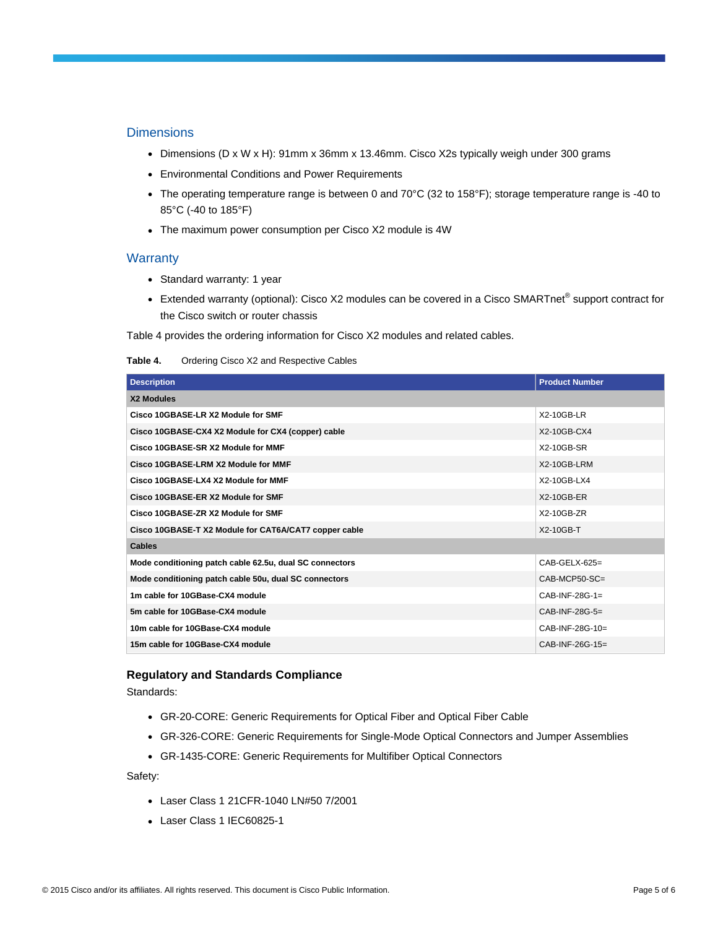#### **Dimensions**

- Dimensions (D x W x H): 91mm x 36mm x 13.46mm. Cisco X2s typically weigh under 300 grams
- Environmental Conditions and Power Requirements
- The operating temperature range is between 0 and 70°C (32 to 158°F); storage temperature range is -40 to 85°C (-40 to 185°F)
- The maximum power consumption per Cisco X2 module is 4W

#### **Warranty**

- Standard warranty: 1 year
- Extended warranty (optional): Cisco X2 modules can be covered in a Cisco SMARTnet® support contract for the Cisco switch or router chassis

Table 4 provides the ordering information for Cisco X2 modules and related cables.

| Table 4. |  | Ordering Cisco X2 and Respective Cables |  |
|----------|--|-----------------------------------------|--|
|----------|--|-----------------------------------------|--|

| <b>Description</b>                                      | <b>Product Number</b> |
|---------------------------------------------------------|-----------------------|
| X2 Modules                                              |                       |
| Cisco 10GBASE-LR X2 Module for SMF                      | $X2-10GB-LR$          |
| Cisco 10GBASE-CX4 X2 Module for CX4 (copper) cable      | X2-10GB-CX4           |
| Cisco 10GBASE-SR X2 Module for MMF                      | X2-10GB-SR            |
| Cisco 10GBASE-LRM X2 Module for MMF                     | X2-10GB-LRM           |
| Cisco 10GBASE-LX4 X2 Module for MMF                     | X2-10GB-LX4           |
| Cisco 10GBASE-ER X2 Module for SMF                      | X2-10GB-ER            |
| Cisco 10GBASE-ZR X2 Module for SMF                      | $X2-10GB-ZR$          |
| Cisco 10GBASE-T X2 Module for CAT6A/CAT7 copper cable   | $X2-10GB-T$           |
| <b>Cables</b>                                           |                       |
| Mode conditioning patch cable 62.5u, dual SC connectors | $CAB-GELX-625=$       |
| Mode conditioning patch cable 50u, dual SC connectors   | $CAB-MCP50-SC=$       |
| 1m cable for 10GBase-CX4 module                         | $CAB-INF-28G-1=$      |
| 5m cable for 10GBase-CX4 module                         | CAB-INF-28G-5=        |
| 10m cable for 10GBase-CX4 module                        | $CAB-INF-28G-10=$     |
| 15m cable for 10GBase-CX4 module                        | $CAB-INF-26G-15=$     |

#### **Regulatory and Standards Compliance**

Standards:

- GR-20-CORE: Generic Requirements for Optical Fiber and Optical Fiber Cable
- GR-326-CORE: Generic Requirements for Single-Mode Optical Connectors and Jumper Assemblies
- GR-1435-CORE: Generic Requirements for Multifiber Optical Connectors

Safety:

- Laser Class 1 21CFR-1040 LN#50 7/2001
- Laser Class 1 IEC60825-1